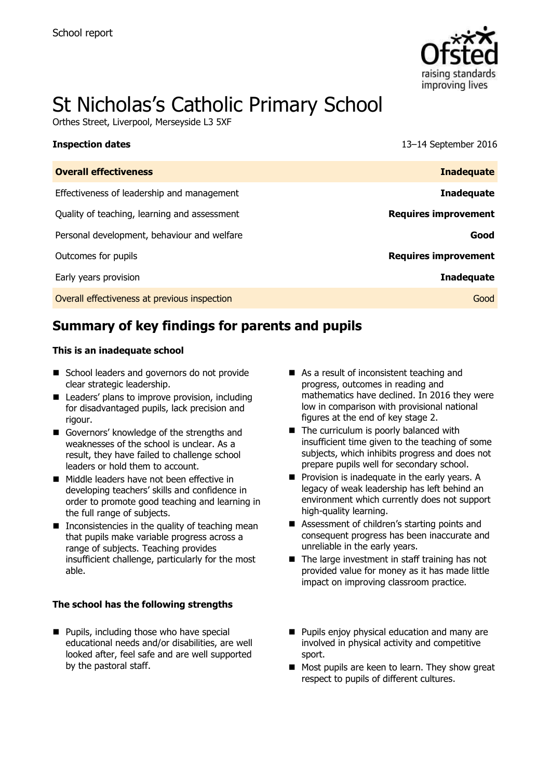

# St Nicholas's Catholic Primary School

Orthes Street, Liverpool, Merseyside L3 5XF

| נווטףככנוטוו ממנכש                           | 19 I LOCPLUMOU LOIU         |
|----------------------------------------------|-----------------------------|
| <b>Overall effectiveness</b>                 | <b>Inadequate</b>           |
| Effectiveness of leadership and management   | <b>Inadequate</b>           |
| Quality of teaching, learning and assessment | <b>Requires improvement</b> |
| Personal development, behaviour and welfare  | Good                        |
| Outcomes for pupils                          | <b>Requires improvement</b> |
| Early years provision                        | <b>Inadequate</b>           |
| Overall effectiveness at previous inspection | Good                        |

**Inspection dates** 13–14 September 2016

# **Summary of key findings for parents and pupils**

#### **This is an inadequate school**

- School leaders and governors do not provide clear strategic leadership.
- Leaders' plans to improve provision, including for disadvantaged pupils, lack precision and rigour.
- Governors' knowledge of the strengths and weaknesses of the school is unclear. As a result, they have failed to challenge school leaders or hold them to account.
- Middle leaders have not been effective in developing teachers' skills and confidence in order to promote good teaching and learning in the full range of subjects.
- $\blacksquare$  Inconsistencies in the quality of teaching mean that pupils make variable progress across a range of subjects. Teaching provides insufficient challenge, particularly for the most able.

#### **The school has the following strengths**

**Pupils, including those who have special** educational needs and/or disabilities, are well looked after, feel safe and are well supported by the pastoral staff.

- As a result of inconsistent teaching and progress, outcomes in reading and mathematics have declined. In 2016 they were low in comparison with provisional national figures at the end of key stage 2.
- The curriculum is poorly balanced with insufficient time given to the teaching of some subjects, which inhibits progress and does not prepare pupils well for secondary school.
- **Provision is inadequate in the early years. A** legacy of weak leadership has left behind an environment which currently does not support high-quality learning.
- Assessment of children's starting points and consequent progress has been inaccurate and unreliable in the early years.
- $\blacksquare$  The large investment in staff training has not provided value for money as it has made little impact on improving classroom practice.
- **Pupils enjoy physical education and many are** involved in physical activity and competitive sport.
- Most pupils are keen to learn. They show great respect to pupils of different cultures.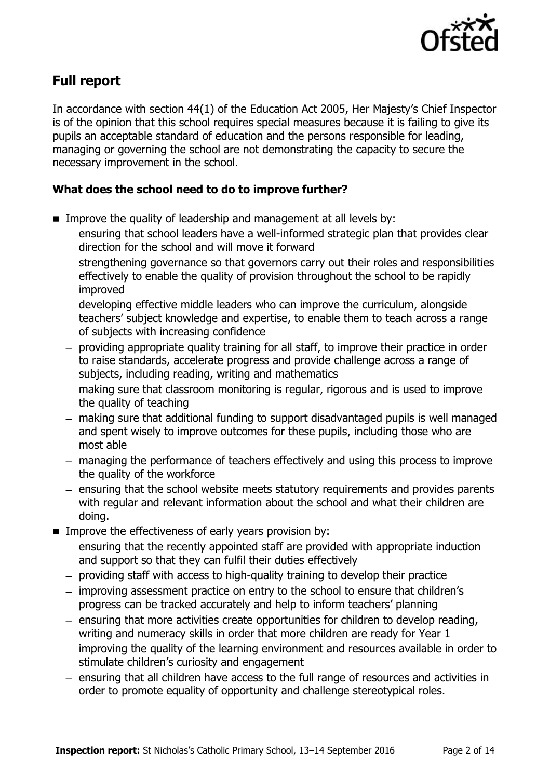

# **Full report**

In accordance with section 44(1) of the Education Act 2005, Her Majesty's Chief Inspector is of the opinion that this school requires special measures because it is failing to give its pupils an acceptable standard of education and the persons responsible for leading, managing or governing the school are not demonstrating the capacity to secure the necessary improvement in the school.

### **What does the school need to do to improve further?**

- **IMPROVE the quality of leadership and management at all levels by:** 
	- ensuring that school leaders have a well-informed strategic plan that provides clear direction for the school and will move it forward
	- strengthening governance so that governors carry out their roles and responsibilities effectively to enable the quality of provision throughout the school to be rapidly improved
	- developing effective middle leaders who can improve the curriculum, alongside teachers' subject knowledge and expertise, to enable them to teach across a range of subjects with increasing confidence
	- providing appropriate quality training for all staff, to improve their practice in order to raise standards, accelerate progress and provide challenge across a range of subjects, including reading, writing and mathematics
	- making sure that classroom monitoring is regular, rigorous and is used to improve the quality of teaching
	- making sure that additional funding to support disadvantaged pupils is well managed and spent wisely to improve outcomes for these pupils, including those who are most able
	- managing the performance of teachers effectively and using this process to improve the quality of the workforce
	- ensuring that the school website meets statutory requirements and provides parents with regular and relevant information about the school and what their children are doing.
- **IMPROVE the effectiveness of early years provision by:** 
	- ensuring that the recently appointed staff are provided with appropriate induction and support so that they can fulfil their duties effectively
	- providing staff with access to high-quality training to develop their practice
	- improving assessment practice on entry to the school to ensure that children's progress can be tracked accurately and help to inform teachers' planning
	- $-$  ensuring that more activities create opportunities for children to develop reading, writing and numeracy skills in order that more children are ready for Year 1
	- improving the quality of the learning environment and resources available in order to stimulate children's curiosity and engagement
	- ensuring that all children have access to the full range of resources and activities in order to promote equality of opportunity and challenge stereotypical roles.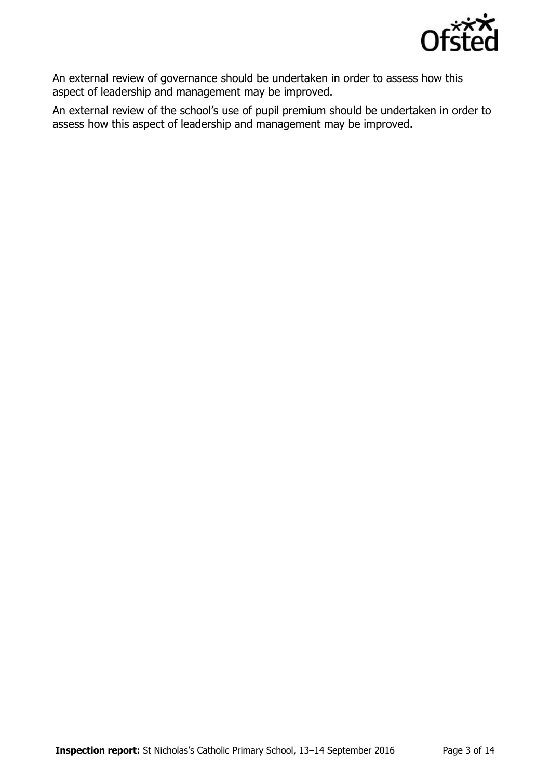

An external review of governance should be undertaken in order to assess how this aspect of leadership and management may be improved.

An external review of the school's use of pupil premium should be undertaken in order to assess how this aspect of leadership and management may be improved.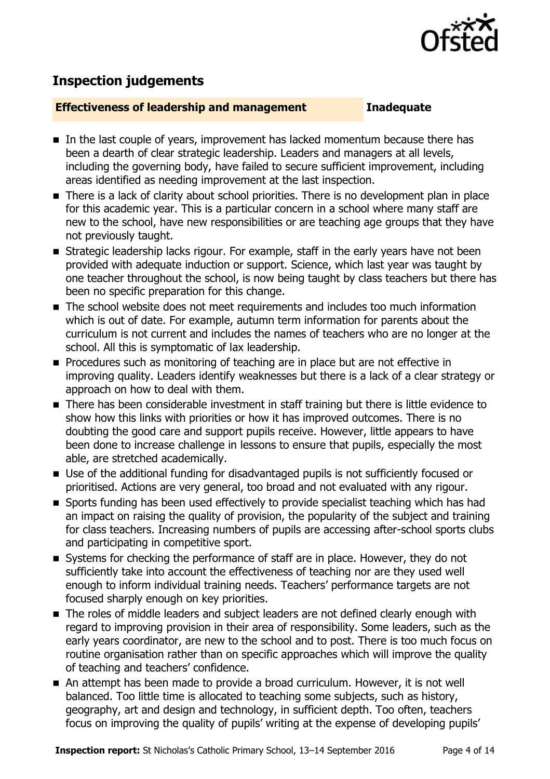

# **Inspection judgements**

#### **Effectiveness of leadership and management Inadequate**

- In the last couple of years, improvement has lacked momentum because there has been a dearth of clear strategic leadership. Leaders and managers at all levels, including the governing body, have failed to secure sufficient improvement, including areas identified as needing improvement at the last inspection.
- There is a lack of clarity about school priorities. There is no development plan in place for this academic year. This is a particular concern in a school where many staff are new to the school, have new responsibilities or are teaching age groups that they have not previously taught.
- **Strategic leadership lacks rigour. For example, staff in the early years have not been** provided with adequate induction or support. Science, which last year was taught by one teacher throughout the school, is now being taught by class teachers but there has been no specific preparation for this change.
- The school website does not meet requirements and includes too much information which is out of date. For example, autumn term information for parents about the curriculum is not current and includes the names of teachers who are no longer at the school. All this is symptomatic of lax leadership.
- **Procedures such as monitoring of teaching are in place but are not effective in** improving quality. Leaders identify weaknesses but there is a lack of a clear strategy or approach on how to deal with them.
- There has been considerable investment in staff training but there is little evidence to show how this links with priorities or how it has improved outcomes. There is no doubting the good care and support pupils receive. However, little appears to have been done to increase challenge in lessons to ensure that pupils, especially the most able, are stretched academically.
- Use of the additional funding for disadvantaged pupils is not sufficiently focused or prioritised. Actions are very general, too broad and not evaluated with any rigour.
- Sports funding has been used effectively to provide specialist teaching which has had an impact on raising the quality of provision, the popularity of the subject and training for class teachers. Increasing numbers of pupils are accessing after-school sports clubs and participating in competitive sport.
- Systems for checking the performance of staff are in place. However, they do not sufficiently take into account the effectiveness of teaching nor are they used well enough to inform individual training needs. Teachers' performance targets are not focused sharply enough on key priorities.
- The roles of middle leaders and subject leaders are not defined clearly enough with regard to improving provision in their area of responsibility. Some leaders, such as the early years coordinator, are new to the school and to post. There is too much focus on routine organisation rather than on specific approaches which will improve the quality of teaching and teachers' confidence.
- An attempt has been made to provide a broad curriculum. However, it is not well balanced. Too little time is allocated to teaching some subjects, such as history, geography, art and design and technology, in sufficient depth. Too often, teachers focus on improving the quality of pupils' writing at the expense of developing pupils'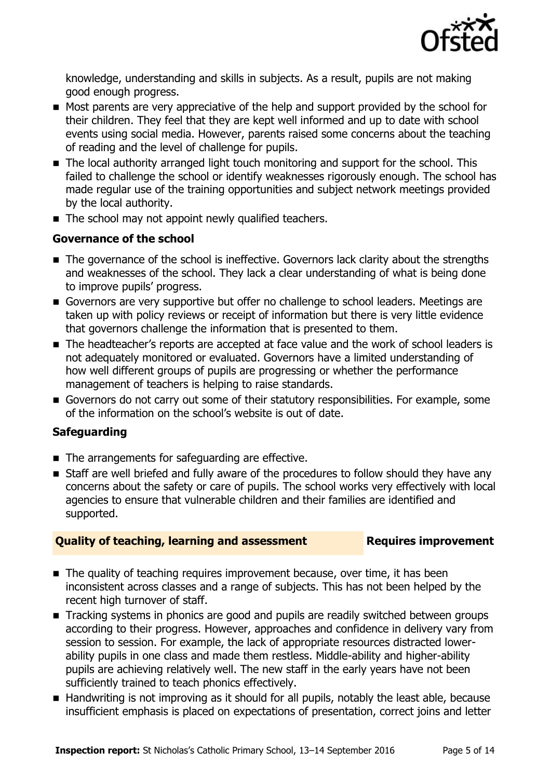

knowledge, understanding and skills in subjects. As a result, pupils are not making good enough progress.

- Most parents are very appreciative of the help and support provided by the school for their children. They feel that they are kept well informed and up to date with school events using social media. However, parents raised some concerns about the teaching of reading and the level of challenge for pupils.
- The local authority arranged light touch monitoring and support for the school. This failed to challenge the school or identify weaknesses rigorously enough. The school has made regular use of the training opportunities and subject network meetings provided by the local authority.
- The school may not appoint newly qualified teachers.

### **Governance of the school**

- The governance of the school is ineffective. Governors lack clarity about the strengths and weaknesses of the school. They lack a clear understanding of what is being done to improve pupils' progress.
- Governors are very supportive but offer no challenge to school leaders. Meetings are taken up with policy reviews or receipt of information but there is very little evidence that governors challenge the information that is presented to them.
- The headteacher's reports are accepted at face value and the work of school leaders is not adequately monitored or evaluated. Governors have a limited understanding of how well different groups of pupils are progressing or whether the performance management of teachers is helping to raise standards.
- Governors do not carry out some of their statutory responsibilities. For example, some of the information on the school's website is out of date.

### **Safeguarding**

- The arrangements for safeguarding are effective.
- **Example 3 Staff are well briefed and fully aware of the procedures to follow should they have any** concerns about the safety or care of pupils. The school works very effectively with local agencies to ensure that vulnerable children and their families are identified and supported.

### **Quality of teaching, learning and assessment Requires improvement**

- The quality of teaching requires improvement because, over time, it has been inconsistent across classes and a range of subjects. This has not been helped by the recent high turnover of staff.
- Tracking systems in phonics are good and pupils are readily switched between groups according to their progress. However, approaches and confidence in delivery vary from session to session. For example, the lack of appropriate resources distracted lowerability pupils in one class and made them restless. Middle-ability and higher-ability pupils are achieving relatively well. The new staff in the early years have not been sufficiently trained to teach phonics effectively.
- Handwriting is not improving as it should for all pupils, notably the least able, because insufficient emphasis is placed on expectations of presentation, correct joins and letter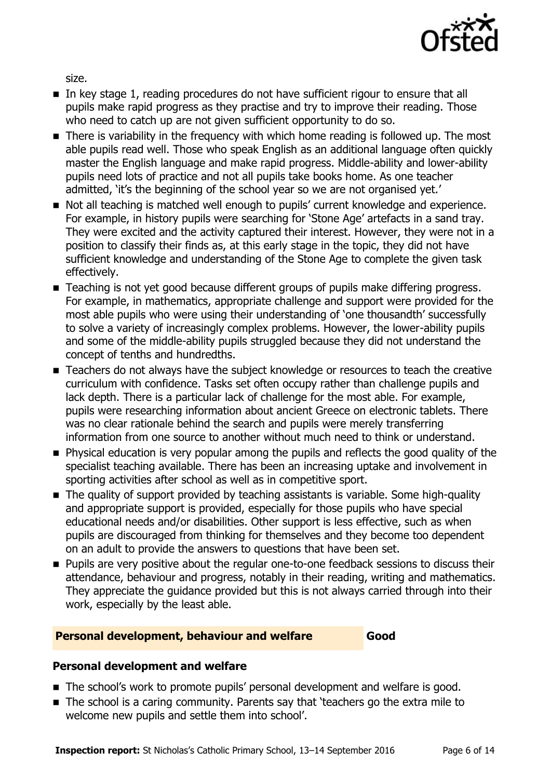

size.

- In key stage 1, reading procedures do not have sufficient rigour to ensure that all pupils make rapid progress as they practise and try to improve their reading. Those who need to catch up are not given sufficient opportunity to do so.
- There is variability in the frequency with which home reading is followed up. The most able pupils read well. Those who speak English as an additional language often quickly master the English language and make rapid progress. Middle-ability and lower-ability pupils need lots of practice and not all pupils take books home. As one teacher admitted, 'it's the beginning of the school year so we are not organised yet.'
- Not all teaching is matched well enough to pupils' current knowledge and experience. For example, in history pupils were searching for 'Stone Age' artefacts in a sand tray. They were excited and the activity captured their interest. However, they were not in a position to classify their finds as, at this early stage in the topic, they did not have sufficient knowledge and understanding of the Stone Age to complete the given task effectively.
- Teaching is not yet good because different groups of pupils make differing progress. For example, in mathematics, appropriate challenge and support were provided for the most able pupils who were using their understanding of 'one thousandth' successfully to solve a variety of increasingly complex problems. However, the lower-ability pupils and some of the middle-ability pupils struggled because they did not understand the concept of tenths and hundredths.
- Teachers do not always have the subject knowledge or resources to teach the creative curriculum with confidence. Tasks set often occupy rather than challenge pupils and lack depth. There is a particular lack of challenge for the most able. For example, pupils were researching information about ancient Greece on electronic tablets. There was no clear rationale behind the search and pupils were merely transferring information from one source to another without much need to think or understand.
- **Physical education is very popular among the pupils and reflects the good quality of the** specialist teaching available. There has been an increasing uptake and involvement in sporting activities after school as well as in competitive sport.
- The quality of support provided by teaching assistants is variable. Some high-quality and appropriate support is provided, especially for those pupils who have special educational needs and/or disabilities. Other support is less effective, such as when pupils are discouraged from thinking for themselves and they become too dependent on an adult to provide the answers to questions that have been set.
- **Pupils are very positive about the regular one-to-one feedback sessions to discuss their** attendance, behaviour and progress, notably in their reading, writing and mathematics. They appreciate the guidance provided but this is not always carried through into their work, especially by the least able.

### **Personal development, behaviour and welfare Good**

#### **Personal development and welfare**

- The school's work to promote pupils' personal development and welfare is good.
- The school is a caring community. Parents say that 'teachers go the extra mile to welcome new pupils and settle them into school'.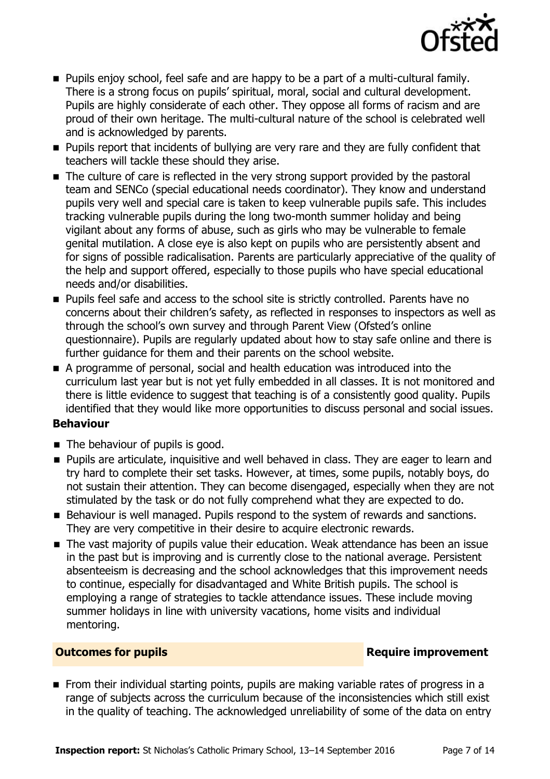

- **Pupils enjoy school, feel safe and are happy to be a part of a multi-cultural family.** There is a strong focus on pupils' spiritual, moral, social and cultural development. Pupils are highly considerate of each other. They oppose all forms of racism and are proud of their own heritage. The multi-cultural nature of the school is celebrated well and is acknowledged by parents.
- **Pupils report that incidents of bullying are very rare and they are fully confident that** teachers will tackle these should they arise.
- The culture of care is reflected in the very strong support provided by the pastoral team and SENCo (special educational needs coordinator). They know and understand pupils very well and special care is taken to keep vulnerable pupils safe. This includes tracking vulnerable pupils during the long two-month summer holiday and being vigilant about any forms of abuse, such as girls who may be vulnerable to female genital mutilation. A close eye is also kept on pupils who are persistently absent and for signs of possible radicalisation. Parents are particularly appreciative of the quality of the help and support offered, especially to those pupils who have special educational needs and/or disabilities.
- **Pupils feel safe and access to the school site is strictly controlled. Parents have no** concerns about their children's safety, as reflected in responses to inspectors as well as through the school's own survey and through Parent View (Ofsted's online questionnaire). Pupils are regularly updated about how to stay safe online and there is further guidance for them and their parents on the school website.
- A programme of personal, social and health education was introduced into the curriculum last year but is not yet fully embedded in all classes. It is not monitored and there is little evidence to suggest that teaching is of a consistently good quality. Pupils identified that they would like more opportunities to discuss personal and social issues.

### **Behaviour**

- The behaviour of pupils is good.
- **Pupils are articulate, inquisitive and well behaved in class. They are eager to learn and** try hard to complete their set tasks. However, at times, some pupils, notably boys, do not sustain their attention. They can become disengaged, especially when they are not stimulated by the task or do not fully comprehend what they are expected to do.
- Behaviour is well managed. Pupils respond to the system of rewards and sanctions. They are very competitive in their desire to acquire electronic rewards.
- The vast majority of pupils value their education. Weak attendance has been an issue in the past but is improving and is currently close to the national average. Persistent absenteeism is decreasing and the school acknowledges that this improvement needs to continue, especially for disadvantaged and White British pupils. The school is employing a range of strategies to tackle attendance issues. These include moving summer holidays in line with university vacations, home visits and individual mentoring.

### **Outcomes for pupils Require improvement**

From their individual starting points, pupils are making variable rates of progress in a range of subjects across the curriculum because of the inconsistencies which still exist in the quality of teaching. The acknowledged unreliability of some of the data on entry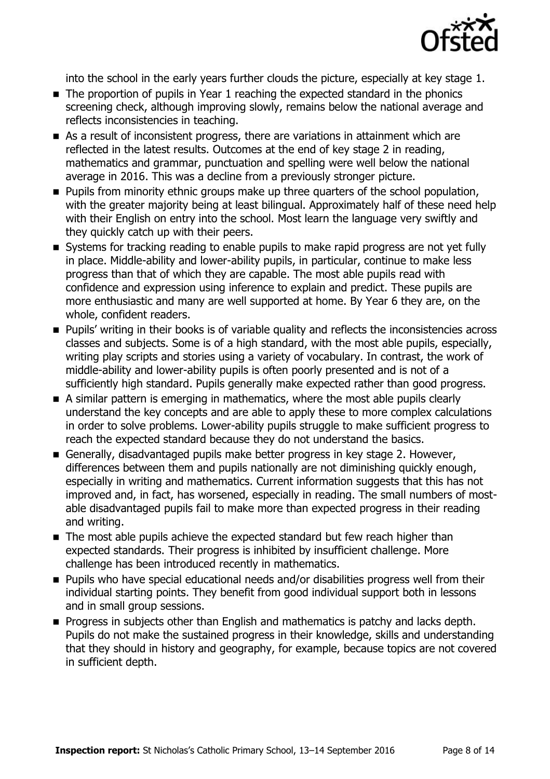

into the school in the early years further clouds the picture, especially at key stage 1.

- The proportion of pupils in Year 1 reaching the expected standard in the phonics screening check, although improving slowly, remains below the national average and reflects inconsistencies in teaching.
- As a result of inconsistent progress, there are variations in attainment which are reflected in the latest results. Outcomes at the end of key stage 2 in reading, mathematics and grammar, punctuation and spelling were well below the national average in 2016. This was a decline from a previously stronger picture.
- **Pupils from minority ethnic groups make up three quarters of the school population,** with the greater majority being at least bilingual. Approximately half of these need help with their English on entry into the school. Most learn the language very swiftly and they quickly catch up with their peers.
- Systems for tracking reading to enable pupils to make rapid progress are not yet fully in place. Middle-ability and lower-ability pupils, in particular, continue to make less progress than that of which they are capable. The most able pupils read with confidence and expression using inference to explain and predict. These pupils are more enthusiastic and many are well supported at home. By Year 6 they are, on the whole, confident readers.
- **Pupils' writing in their books is of variable quality and reflects the inconsistencies across** classes and subjects. Some is of a high standard, with the most able pupils, especially, writing play scripts and stories using a variety of vocabulary. In contrast, the work of middle-ability and lower-ability pupils is often poorly presented and is not of a sufficiently high standard. Pupils generally make expected rather than good progress.
- A similar pattern is emerging in mathematics, where the most able pupils clearly understand the key concepts and are able to apply these to more complex calculations in order to solve problems. Lower-ability pupils struggle to make sufficient progress to reach the expected standard because they do not understand the basics.
- Generally, disadvantaged pupils make better progress in key stage 2. However, differences between them and pupils nationally are not diminishing quickly enough, especially in writing and mathematics. Current information suggests that this has not improved and, in fact, has worsened, especially in reading. The small numbers of mostable disadvantaged pupils fail to make more than expected progress in their reading and writing.
- The most able pupils achieve the expected standard but few reach higher than expected standards. Their progress is inhibited by insufficient challenge. More challenge has been introduced recently in mathematics.
- **Pupils who have special educational needs and/or disabilities progress well from their** individual starting points. They benefit from good individual support both in lessons and in small group sessions.
- **Progress in subjects other than English and mathematics is patchy and lacks depth.** Pupils do not make the sustained progress in their knowledge, skills and understanding that they should in history and geography, for example, because topics are not covered in sufficient depth.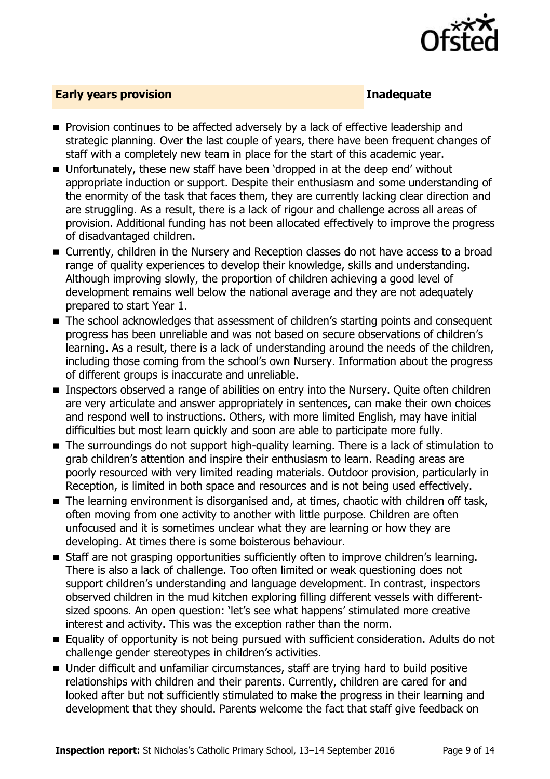

#### **Early years provision Inadequate**

- **Provision continues to be affected adversely by a lack of effective leadership and** strategic planning. Over the last couple of years, there have been frequent changes of staff with a completely new team in place for the start of this academic year.
- Unfortunately, these new staff have been 'dropped in at the deep end' without appropriate induction or support. Despite their enthusiasm and some understanding of the enormity of the task that faces them, they are currently lacking clear direction and are struggling. As a result, there is a lack of rigour and challenge across all areas of provision. Additional funding has not been allocated effectively to improve the progress of disadvantaged children.
- Currently, children in the Nursery and Reception classes do not have access to a broad range of quality experiences to develop their knowledge, skills and understanding. Although improving slowly, the proportion of children achieving a good level of development remains well below the national average and they are not adequately prepared to start Year 1.
- The school acknowledges that assessment of children's starting points and consequent progress has been unreliable and was not based on secure observations of children's learning. As a result, there is a lack of understanding around the needs of the children, including those coming from the school's own Nursery. Information about the progress of different groups is inaccurate and unreliable.
- **Inspectors observed a range of abilities on entry into the Nursery. Quite often children** are very articulate and answer appropriately in sentences, can make their own choices and respond well to instructions. Others, with more limited English, may have initial difficulties but most learn quickly and soon are able to participate more fully.
- The surroundings do not support high-quality learning. There is a lack of stimulation to grab children's attention and inspire their enthusiasm to learn. Reading areas are poorly resourced with very limited reading materials. Outdoor provision, particularly in Reception, is limited in both space and resources and is not being used effectively.
- The learning environment is disorganised and, at times, chaotic with children off task, often moving from one activity to another with little purpose. Children are often unfocused and it is sometimes unclear what they are learning or how they are developing. At times there is some boisterous behaviour.
- **Staff are not grasping opportunities sufficiently often to improve children's learning.** There is also a lack of challenge. Too often limited or weak questioning does not support children's understanding and language development. In contrast, inspectors observed children in the mud kitchen exploring filling different vessels with differentsized spoons. An open question: 'let's see what happens' stimulated more creative interest and activity. This was the exception rather than the norm.
- Equality of opportunity is not being pursued with sufficient consideration. Adults do not challenge gender stereotypes in children's activities.
- Under difficult and unfamiliar circumstances, staff are trying hard to build positive relationships with children and their parents. Currently, children are cared for and looked after but not sufficiently stimulated to make the progress in their learning and development that they should. Parents welcome the fact that staff give feedback on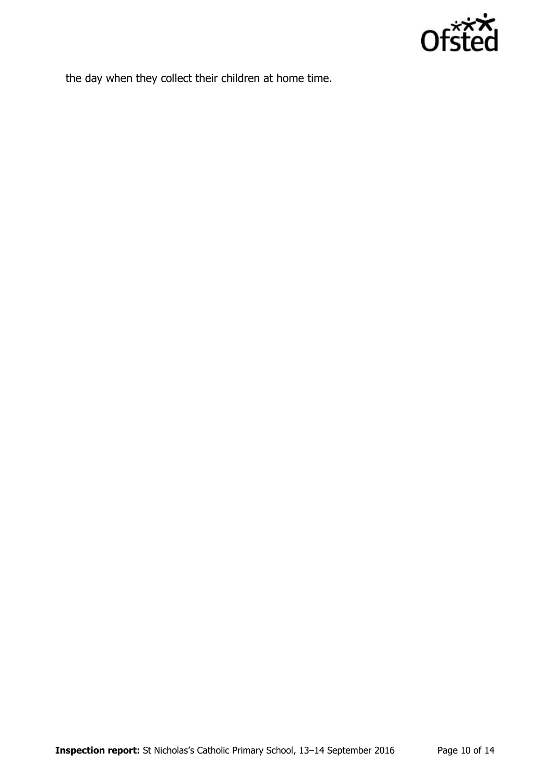

the day when they collect their children at home time.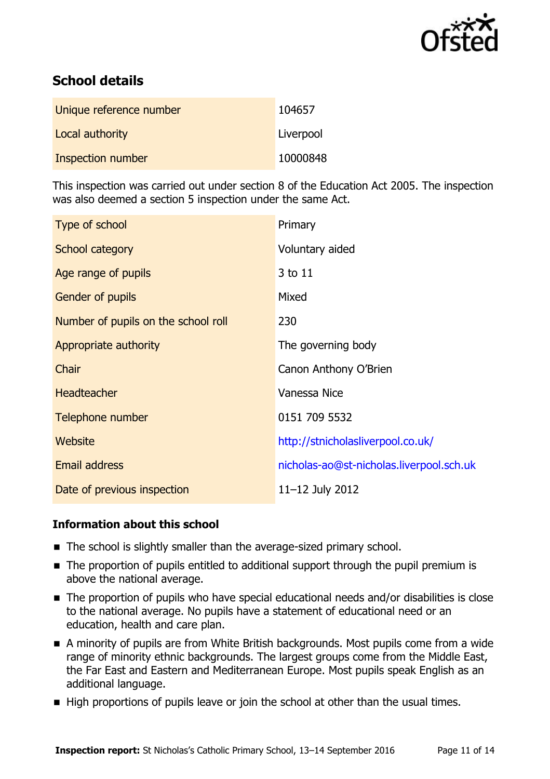

# **School details**

| Unique reference number | 104657    |
|-------------------------|-----------|
| Local authority         | Liverpool |
| Inspection number       | 10000848  |

This inspection was carried out under section 8 of the Education Act 2005. The inspection was also deemed a section 5 inspection under the same Act.

| Type of school                      | Primary                                  |
|-------------------------------------|------------------------------------------|
| School category                     | Voluntary aided                          |
| Age range of pupils                 | 3 to 11                                  |
| <b>Gender of pupils</b>             | Mixed                                    |
| Number of pupils on the school roll | 230                                      |
| Appropriate authority               | The governing body                       |
| Chair                               | Canon Anthony O'Brien                    |
| <b>Headteacher</b>                  | Vanessa Nice                             |
| Telephone number                    | 0151 709 5532                            |
| <b>Website</b>                      | http://stnicholasliverpool.co.uk/        |
| Email address                       | nicholas-ao@st-nicholas.liverpool.sch.uk |
| Date of previous inspection         | 11-12 July 2012                          |

#### **Information about this school**

- The school is slightly smaller than the average-sized primary school.
- The proportion of pupils entitled to additional support through the pupil premium is above the national average.
- The proportion of pupils who have special educational needs and/or disabilities is close to the national average. No pupils have a statement of educational need or an education, health and care plan.
- A minority of pupils are from White British backgrounds. Most pupils come from a wide range of minority ethnic backgrounds. The largest groups come from the Middle East, the Far East and Eastern and Mediterranean Europe. Most pupils speak English as an additional language.
- High proportions of pupils leave or join the school at other than the usual times.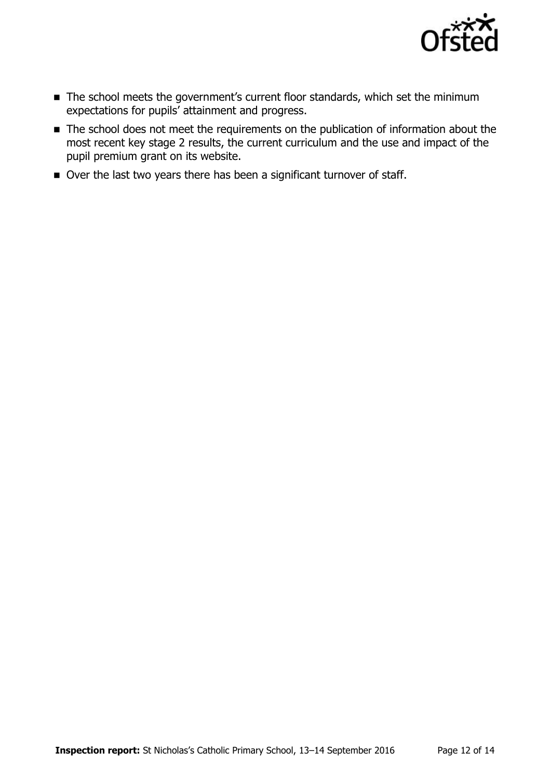

- The school meets the government's current floor standards, which set the minimum expectations for pupils' attainment and progress.
- The school does not meet the requirements on the publication of information about the most recent key stage 2 results, the current curriculum and the use and impact of the pupil premium grant on its website.
- Over the last two years there has been a significant turnover of staff.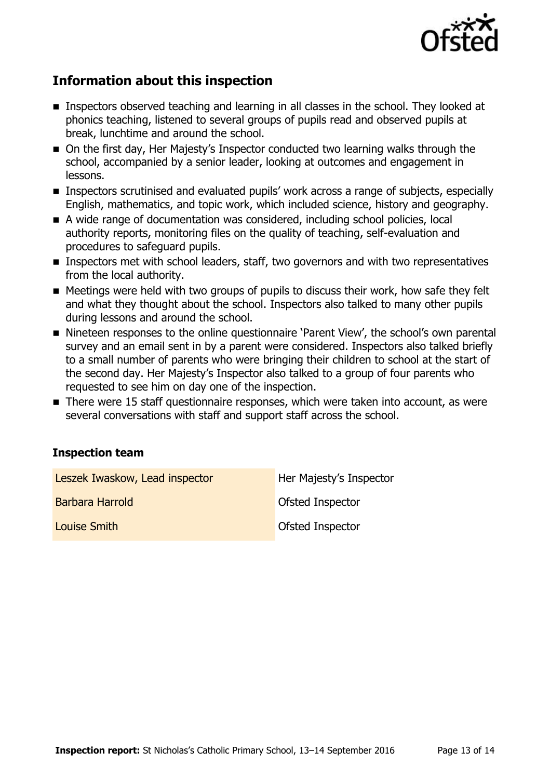

# **Information about this inspection**

- **Inspectors observed teaching and learning in all classes in the school. They looked at** phonics teaching, listened to several groups of pupils read and observed pupils at break, lunchtime and around the school.
- On the first day, Her Majesty's Inspector conducted two learning walks through the school, accompanied by a senior leader, looking at outcomes and engagement in lessons.
- **Inspectors scrutinised and evaluated pupils' work across a range of subjects, especially** English, mathematics, and topic work, which included science, history and geography.
- A wide range of documentation was considered, including school policies, local authority reports, monitoring files on the quality of teaching, self-evaluation and procedures to safeguard pupils.
- **Inspectors met with school leaders, staff, two governors and with two representatives** from the local authority.
- Meetings were held with two groups of pupils to discuss their work, how safe they felt and what they thought about the school. Inspectors also talked to many other pupils during lessons and around the school.
- Nineteen responses to the online questionnaire 'Parent View', the school's own parental survey and an email sent in by a parent were considered. Inspectors also talked briefly to a small number of parents who were bringing their children to school at the start of the second day. Her Majesty's Inspector also talked to a group of four parents who requested to see him on day one of the inspection.
- There were 15 staff questionnaire responses, which were taken into account, as were several conversations with staff and support staff across the school.

### **Inspection team**

| Leszek Iwaskow, Lead inspector | Her Majesty's Inspector |
|--------------------------------|-------------------------|
| Barbara Harrold                | <b>Ofsted Inspector</b> |
| Louise Smith                   | Ofsted Inspector        |